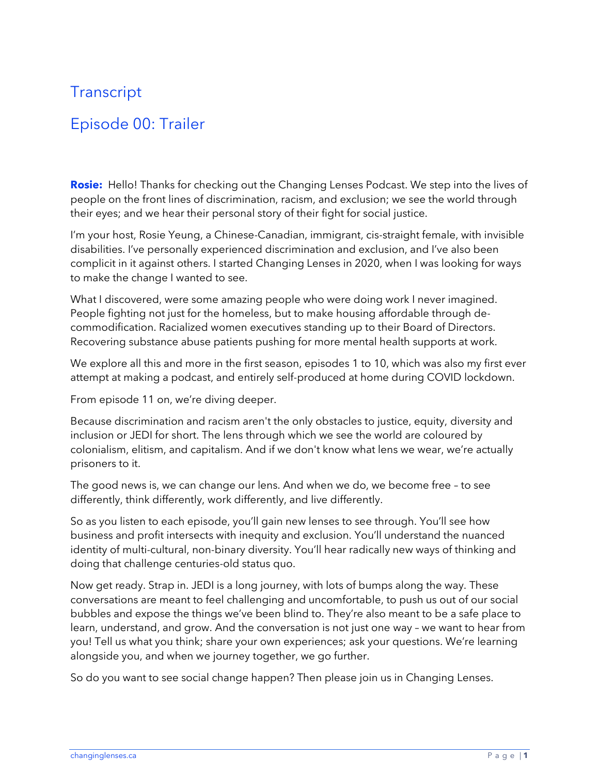## **Transcript**

## Episode 00: Trailer

**Rosie:** Hello! Thanks for checking out the Changing Lenses Podcast. We step into the lives of people on the front lines of discrimination, racism, and exclusion; we see the world through their eyes; and we hear their personal story of their fight for social justice.

I'm your host, Rosie Yeung, a Chinese-Canadian, immigrant, cis-straight female, with invisible disabilities. I've personally experienced discrimination and exclusion, and I've also been complicit in it against others. I started Changing Lenses in 2020, when I was looking for ways to make the change I wanted to see.

What I discovered, were some amazing people who were doing work I never imagined. People fighting not just for the homeless, but to make housing affordable through decommodification. Racialized women executives standing up to their Board of Directors. Recovering substance abuse patients pushing for more mental health supports at work.

We explore all this and more in the first season, episodes 1 to 10, which was also my first ever attempt at making a podcast, and entirely self-produced at home during COVID lockdown.

From episode 11 on, we're diving deeper.

Because discrimination and racism aren't the only obstacles to justice, equity, diversity and inclusion or JEDI for short. The lens through which we see the world are coloured by colonialism, elitism, and capitalism. And if we don't know what lens we wear, we're actually prisoners to it.

The good news is, we can change our lens. And when we do, we become free – to see differently, think differently, work differently, and live differently.

So as you listen to each episode, you'll gain new lenses to see through. You'll see how business and profit intersects with inequity and exclusion. You'll understand the nuanced identity of multi-cultural, non-binary diversity. You'll hear radically new ways of thinking and doing that challenge centuries-old status quo.

Now get ready. Strap in. JEDI is a long journey, with lots of bumps along the way. These conversations are meant to feel challenging and uncomfortable, to push us out of our social bubbles and expose the things we've been blind to. They're also meant to be a safe place to learn, understand, and grow. And the conversation is not just one way – we want to hear from you! Tell us what you think; share your own experiences; ask your questions. We're learning alongside you, and when we journey together, we go further.

So do you want to see social change happen? Then please join us in Changing Lenses.